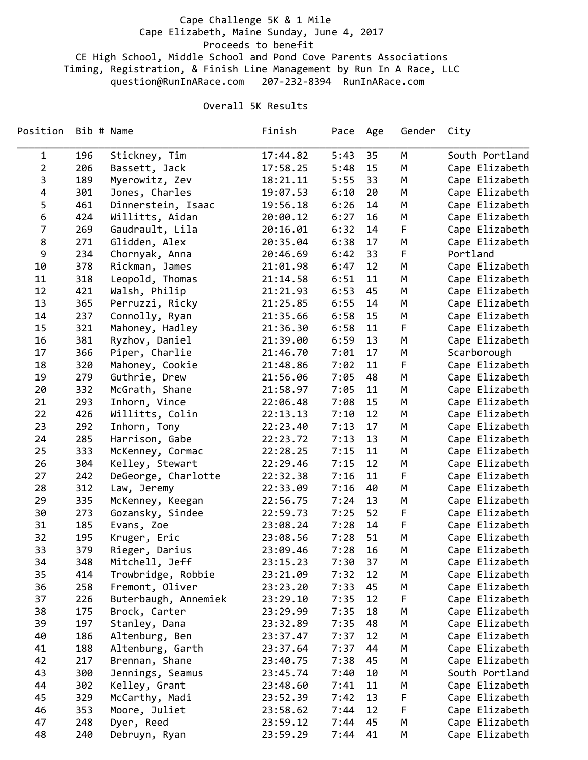## Cape Challenge 5K & 1 Mile Cape Elizabeth, Maine Sunday, June 4, 2017 Proceeds to benefit CE High School, Middle School and Pond Cove Parents Associations Timing, Registration, & Finish Line Management by Run In A Race, LLC question@RunInARace.com 207‐232‐8394 RunInARace.com

## Overall 5K Results

| Position       | Bib # Name |                      | Finish   | Pace Age |    | Gender | City           |
|----------------|------------|----------------------|----------|----------|----|--------|----------------|
| $\mathbf{1}$   | 196        | Stickney, Tim        | 17:44.82 | 5:43     | 35 | M      | South Portland |
| $\overline{2}$ | 206        | Bassett, Jack        | 17:58.25 | 5:48     | 15 | M      | Cape Elizabeth |
| 3              | 189        | Myerowitz, Zev       | 18:21.11 | 5:55     | 33 | M      | Cape Elizabeth |
| 4              | 301        | Jones, Charles       | 19:07.53 | 6:10     | 20 | М      | Cape Elizabeth |
| 5              | 461        | Dinnerstein, Isaac   | 19:56.18 | 6:26     | 14 | М      | Cape Elizabeth |
| 6              | 424        | Willitts, Aidan      | 20:00.12 | 6:27     | 16 | М      | Cape Elizabeth |
| $\overline{7}$ | 269        | Gaudrault, Lila      | 20:16.01 | 6:32     | 14 | F      | Cape Elizabeth |
| 8              | 271        | Glidden, Alex        | 20:35.04 | 6:38     | 17 | M      | Cape Elizabeth |
| 9              | 234        | Chornyak, Anna       | 20:46.69 | 6:42     | 33 | F      | Portland       |
| 10             | 378        | Rickman, James       | 21:01.98 | 6:47     | 12 | M      | Cape Elizabeth |
| 11             | 318        | Leopold, Thomas      | 21:14.58 | 6:51     | 11 | М      | Cape Elizabeth |
| 12             | 421        | Walsh, Philip        | 21:21.93 | 6:53     | 45 | М      | Cape Elizabeth |
| 13             | 365        | Perruzzi, Ricky      | 21:25.85 | 6:55     | 14 | М      | Cape Elizabeth |
| 14             | 237        | Connolly, Ryan       | 21:35.66 | 6:58     | 15 | M      | Cape Elizabeth |
| 15             | 321        | Mahoney, Hadley      | 21:36.30 | 6:58     | 11 | F      | Cape Elizabeth |
| 16             | 381        | Ryzhov, Daniel       | 21:39.00 | 6:59     | 13 | M      | Cape Elizabeth |
| 17             | 366        | Piper, Charlie       | 21:46.70 | 7:01     | 17 | М      | Scarborough    |
| 18             | 320        | Mahoney, Cookie      | 21:48.86 | 7:02     | 11 | F      | Cape Elizabeth |
| 19             | 279        | Guthrie, Drew        | 21:56.06 | 7:05     | 48 | М      | Cape Elizabeth |
| 20             | 332        | McGrath, Shane       | 21:58.97 | 7:05     | 11 | М      | Cape Elizabeth |
| 21             | 293        | Inhorn, Vince        | 22:06.48 | 7:08     | 15 | М      | Cape Elizabeth |
| 22             | 426        | Willitts, Colin      | 22:13.13 | 7:10     | 12 | M      | Cape Elizabeth |
| 23             | 292        | Inhorn, Tony         | 22:23.40 | 7:13     | 17 | M      | Cape Elizabeth |
| 24             | 285        | Harrison, Gabe       | 22:23.72 | 7:13     | 13 | М      | Cape Elizabeth |
| 25             | 333        | McKenney, Cormac     | 22:28.25 | 7:15     | 11 | М      | Cape Elizabeth |
| 26             | 304        | Kelley, Stewart      | 22:29.46 | 7:15     | 12 | М      | Cape Elizabeth |
| 27             | 242        | DeGeorge, Charlotte  | 22:32.38 | 7:16     | 11 | F      | Cape Elizabeth |
| 28             | 312        | Law, Jeremy          | 22:33.09 | 7:16     | 40 | М      | Cape Elizabeth |
| 29             | 335        | McKenney, Keegan     | 22:56.75 | 7:24     | 13 | M      | Cape Elizabeth |
| 30             | 273        | Gozansky, Sindee     | 22:59.73 | 7:25     | 52 | F      | Cape Elizabeth |
| 31             | 185        | Evans, Zoe           | 23:08.24 | 7:28     | 14 | F      | Cape Elizabeth |
| 32             | 195        | Kruger, Eric         | 23:08.56 | 7:28     | 51 | M      | Cape Elizabeth |
| 33             | 379        | Rieger, Darius       | 23:09.46 | 7:28     | 16 | M      | Cape Elizabeth |
| 34             | 348        | Mitchell, Jeff       | 23:15.23 | 7:30     | 37 | M      | Cape Elizabeth |
| 35             | 414        | Trowbridge, Robbie   | 23:21.09 | 7:32     | 12 | М      | Cape Elizabeth |
| 36             | 258        | Fremont, Oliver      | 23:23.20 | 7:33     | 45 | М      | Cape Elizabeth |
| 37             | 226        | Buterbaugh, Annemiek | 23:29.10 | 7:35     | 12 | F      | Cape Elizabeth |
| 38             | 175        | Brock, Carter        | 23:29.99 | 7:35     | 18 | М      | Cape Elizabeth |
| 39             | 197        | Stanley, Dana        | 23:32.89 | 7:35     | 48 | М      | Cape Elizabeth |
| 40             | 186        | Altenburg, Ben       | 23:37.47 | 7:37     | 12 | М      | Cape Elizabeth |
| 41             | 188        | Altenburg, Garth     | 23:37.64 | 7:37     | 44 | М      | Cape Elizabeth |
| 42             |            |                      |          |          |    |        |                |
|                | 217        | Brennan, Shane       | 23:40.75 | 7:38     | 45 | М      | Cape Elizabeth |
| 43             | 300        | Jennings, Seamus     | 23:45.74 | 7:40     | 10 | М      | South Portland |
| 44             | 302        | Kelley, Grant        | 23:48.60 | 7:41     | 11 | М      | Cape Elizabeth |
| 45             | 329        | McCarthy, Madi       | 23:52.39 | 7:42     | 13 | F      | Cape Elizabeth |
| 46             | 353        | Moore, Juliet        | 23:58.62 | 7:44     | 12 | F      | Cape Elizabeth |
| 47             | 248        | Dyer, Reed           | 23:59.12 | 7:44     | 45 | M      | Cape Elizabeth |
| 48             | 240        | Debruyn, Ryan        | 23:59.29 | 7:44     | 41 | М      | Cape Elizabeth |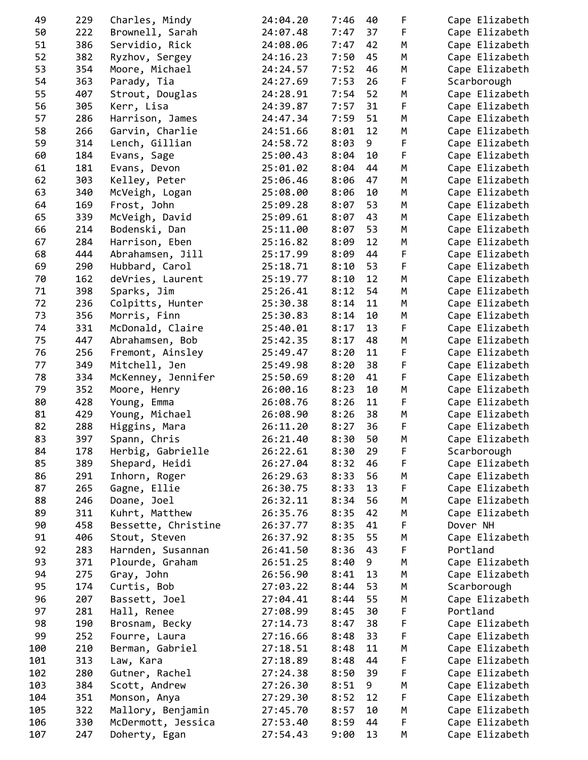| 49  | 229 | Charles, Mindy      | 24:04.20 | 7:46 | 40 | F | Cape Elizabeth |
|-----|-----|---------------------|----------|------|----|---|----------------|
| 50  | 222 | Brownell, Sarah     | 24:07.48 | 7:47 | 37 | F | Cape Elizabeth |
| 51  | 386 | Servidio, Rick      | 24:08.06 | 7:47 | 42 | М | Cape Elizabeth |
| 52  | 382 | Ryzhov, Sergey      | 24:16.23 | 7:50 | 45 | М | Cape Elizabeth |
| 53  | 354 | Moore, Michael      | 24:24.57 | 7:52 | 46 | М | Cape Elizabeth |
| 54  | 363 | Parady, Tia         | 24:27.69 | 7:53 | 26 | F | Scarborough    |
| 55  | 407 | Strout, Douglas     | 24:28.91 | 7:54 | 52 | М | Cape Elizabeth |
| 56  | 305 |                     | 24:39.87 | 7:57 | 31 | F | Cape Elizabeth |
|     |     | Kerr, Lisa          |          |      |    |   |                |
| 57  | 286 | Harrison, James     | 24:47.34 | 7:59 | 51 | М | Cape Elizabeth |
| 58  | 266 | Garvin, Charlie     | 24:51.66 | 8:01 | 12 | M | Cape Elizabeth |
| 59  | 314 | Lench, Gillian      | 24:58.72 | 8:03 | 9  | F | Cape Elizabeth |
| 60  | 184 | Evans, Sage         | 25:00.43 | 8:04 | 10 | F | Cape Elizabeth |
| 61  | 181 | Evans, Devon        | 25:01.02 | 8:04 | 44 | M | Cape Elizabeth |
| 62  | 303 | Kelley, Peter       | 25:06.46 | 8:06 | 47 | М | Cape Elizabeth |
| 63  | 340 | McVeigh, Logan      | 25:08.00 | 8:06 | 10 | М | Cape Elizabeth |
| 64  | 169 | Frost, John         | 25:09.28 | 8:07 | 53 | М | Cape Elizabeth |
| 65  | 339 | McVeigh, David      | 25:09.61 | 8:07 | 43 | М | Cape Elizabeth |
| 66  | 214 | Bodenski, Dan       | 25:11.00 | 8:07 | 53 | М | Cape Elizabeth |
| 67  | 284 | Harrison, Eben      | 25:16.82 | 8:09 | 12 | М | Cape Elizabeth |
| 68  | 444 | Abrahamsen, Jill    | 25:17.99 | 8:09 | 44 | F | Cape Elizabeth |
| 69  | 290 | Hubbard, Carol      | 25:18.71 | 8:10 | 53 | F | Cape Elizabeth |
| 70  | 162 | deVries, Laurent    | 25:19.77 | 8:10 | 12 | М | Cape Elizabeth |
|     |     |                     |          | 8:12 |    |   |                |
| 71  | 398 | Sparks, Jim         | 25:26.41 |      | 54 | М | Cape Elizabeth |
| 72  | 236 | Colpitts, Hunter    | 25:30.38 | 8:14 | 11 | М | Cape Elizabeth |
| 73  | 356 | Morris, Finn        | 25:30.83 | 8:14 | 10 | М | Cape Elizabeth |
| 74  | 331 | McDonald, Claire    | 25:40.01 | 8:17 | 13 | F | Cape Elizabeth |
| 75  | 447 | Abrahamsen, Bob     | 25:42.35 | 8:17 | 48 | M | Cape Elizabeth |
| 76  | 256 | Fremont, Ainsley    | 25:49.47 | 8:20 | 11 | F | Cape Elizabeth |
| 77  | 349 | Mitchell, Jen       | 25:49.98 | 8:20 | 38 | F | Cape Elizabeth |
| 78  | 334 | McKenney, Jennifer  | 25:50.69 | 8:20 | 41 | F | Cape Elizabeth |
| 79  | 352 | Moore, Henry        | 26:00.16 | 8:23 | 10 | М | Cape Elizabeth |
| 80  | 428 | Young, Emma         | 26:08.76 | 8:26 | 11 | F | Cape Elizabeth |
| 81  | 429 | Young, Michael      | 26:08.90 | 8:26 | 38 | М | Cape Elizabeth |
| 82  | 288 | Higgins, Mara       | 26:11.20 | 8:27 | 36 | F | Cape Elizabeth |
| 83  | 397 | Spann, Chris        | 26:21.40 | 8:30 | 50 | M | Cape Elizabeth |
| 84  | 178 | Herbig, Gabrielle   | 26:22.61 | 8:30 | 29 | F | Scarborough    |
| 85  | 389 | Shepard, Heidi      | 26:27.04 | 8:32 | 46 | F | Cape Elizabeth |
| 86  | 291 | Inhorn, Roger       | 26:29.63 | 8:33 | 56 | M | Cape Elizabeth |
|     |     |                     |          |      |    |   |                |
| 87  | 265 | Gagne, Ellie        | 26:30.75 | 8:33 | 13 | F | Cape Elizabeth |
| 88  | 246 | Doane, Joel         | 26:32.11 | 8:34 | 56 | М | Cape Elizabeth |
| 89  | 311 | Kuhrt, Matthew      | 26:35.76 | 8:35 | 42 | М | Cape Elizabeth |
| 90  | 458 | Bessette, Christine | 26:37.77 | 8:35 | 41 | F | Dover NH       |
| 91  | 406 | Stout, Steven       | 26:37.92 | 8:35 | 55 | М | Cape Elizabeth |
| 92  | 283 | Harnden, Susannan   | 26:41.50 | 8:36 | 43 | F | Portland       |
| 93  | 371 | Plourde, Graham     | 26:51.25 | 8:40 | 9  | M | Cape Elizabeth |
| 94  | 275 | Gray, John          | 26:56.90 | 8:41 | 13 | М | Cape Elizabeth |
| 95  | 174 | Curtis, Bob         | 27:03.22 | 8:44 | 53 | М | Scarborough    |
| 96  | 207 | Bassett, Joel       | 27:04.41 | 8:44 | 55 | M | Cape Elizabeth |
| 97  | 281 | Hall, Renee         | 27:08.99 | 8:45 | 30 | F | Portland       |
| 98  | 190 | Brosnam, Becky      | 27:14.73 | 8:47 | 38 | F | Cape Elizabeth |
| 99  | 252 | Fourre, Laura       | 27:16.66 | 8:48 | 33 | F | Cape Elizabeth |
| 100 | 210 | Berman, Gabriel     | 27:18.51 | 8:48 | 11 | М | Cape Elizabeth |
| 101 | 313 | Law, Kara           | 27:18.89 | 8:48 | 44 |   | Cape Elizabeth |
|     |     |                     |          |      |    | F |                |
| 102 | 280 | Gutner, Rachel      | 27:24.38 | 8:50 | 39 | F | Cape Elizabeth |
| 103 | 384 | Scott, Andrew       | 27:26.30 | 8:51 | 9  | М | Cape Elizabeth |
| 104 | 351 | Monson, Anya        | 27:29.30 | 8:52 | 12 | F | Cape Elizabeth |
| 105 | 322 | Mallory, Benjamin   | 27:45.70 | 8:57 | 10 | M | Cape Elizabeth |
| 106 | 330 | McDermott, Jessica  | 27:53.40 | 8:59 | 44 | F | Cape Elizabeth |
| 107 | 247 | Doherty, Egan       | 27:54.43 | 9:00 | 13 | М | Cape Elizabeth |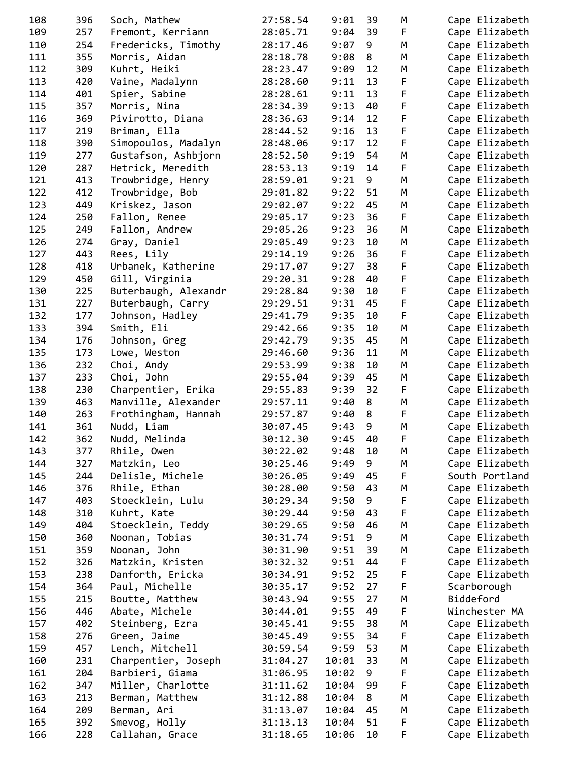| 108 | 396 | Soch, Mathew         | 27:58.54 | 9:01  | 39 | М  | Cape Elizabeth |
|-----|-----|----------------------|----------|-------|----|----|----------------|
| 109 | 257 | Fremont, Kerriann    | 28:05.71 | 9:04  | 39 | F. | Cape Elizabeth |
| 110 | 254 | Fredericks, Timothy  | 28:17.46 | 9:07  | 9  | М  | Cape Elizabeth |
| 111 | 355 | Morris, Aidan        | 28:18.78 | 9:08  | 8  | М  | Cape Elizabeth |
| 112 | 309 | Kuhrt, Heiki         | 28:23.47 | 9:09  | 12 | М  | Cape Elizabeth |
| 113 | 420 | Vaine, Madalynn      | 28:28.60 | 9:11  | 13 | F  | Cape Elizabeth |
| 114 | 401 | Spier, Sabine        | 28:28.61 | 9:11  | 13 | F  | Cape Elizabeth |
| 115 | 357 | Morris, Nina         | 28:34.39 | 9:13  | 40 | F  | Cape Elizabeth |
| 116 | 369 | Pivirotto, Diana     | 28:36.63 | 9:14  | 12 | F  | Cape Elizabeth |
| 117 | 219 | Briman, Ella         | 28:44.52 | 9:16  | 13 | F  | Cape Elizabeth |
|     |     |                      |          | 9:17  | 12 | F  |                |
| 118 | 390 | Simopoulos, Madalyn  | 28:48.06 |       |    |    | Cape Elizabeth |
| 119 | 277 | Gustafson, Ashbjorn  | 28:52.50 | 9:19  | 54 | М  | Cape Elizabeth |
| 120 | 287 | Hetrick, Meredith    | 28:53.13 | 9:19  | 14 | F  | Cape Elizabeth |
| 121 | 413 | Trowbridge, Henry    | 28:59.01 | 9:21  | 9  | М  | Cape Elizabeth |
| 122 | 412 | Trowbridge, Bob      | 29:01.82 | 9:22  | 51 | М  | Cape Elizabeth |
| 123 | 449 | Kriskez, Jason       | 29:02.07 | 9:22  | 45 | М  | Cape Elizabeth |
| 124 | 250 | Fallon, Renee        | 29:05.17 | 9:23  | 36 | F  | Cape Elizabeth |
| 125 | 249 | Fallon, Andrew       | 29:05.26 | 9:23  | 36 | М  | Cape Elizabeth |
| 126 | 274 | Gray, Daniel         | 29:05.49 | 9:23  | 10 | М  | Cape Elizabeth |
| 127 | 443 | Rees, Lily           | 29:14.19 | 9:26  | 36 | F  | Cape Elizabeth |
| 128 | 418 | Urbanek, Katherine   | 29:17.07 | 9:27  | 38 | F  | Cape Elizabeth |
| 129 | 450 | Gill, Virginia       | 29:20.31 | 9:28  | 40 | F  | Cape Elizabeth |
| 130 | 225 | Buterbaugh, Alexandr | 29:28.84 | 9:30  | 10 | F  | Cape Elizabeth |
| 131 | 227 | Buterbaugh, Carry    | 29:29.51 | 9:31  | 45 | F  | Cape Elizabeth |
| 132 | 177 | Johnson, Hadley      | 29:41.79 | 9:35  | 10 | F  | Cape Elizabeth |
| 133 | 394 | Smith, Eli           | 29:42.66 | 9:35  | 10 | М  | Cape Elizabeth |
| 134 | 176 | Johnson, Greg        | 29:42.79 | 9:35  | 45 | M  | Cape Elizabeth |
| 135 | 173 | Lowe, Weston         | 29:46.60 | 9:36  | 11 | М  | Cape Elizabeth |
| 136 | 232 | Choi, Andy           | 29:53.99 | 9:38  | 10 | М  | Cape Elizabeth |
| 137 | 233 | Choi, John           | 29:55.04 | 9:39  | 45 | М  | Cape Elizabeth |
| 138 | 230 | Charpentier, Erika   | 29:55.83 | 9:39  | 32 | F  | Cape Elizabeth |
| 139 | 463 | Manville, Alexander  | 29:57.11 | 9:40  | 8  | M  | Cape Elizabeth |
| 140 | 263 | Frothingham, Hannah  | 29:57.87 | 9:40  | 8  | F  | Cape Elizabeth |
| 141 | 361 | Nudd, Liam           | 30:07.45 | 9:43  | 9  | M  | Cape Elizabeth |
| 142 | 362 | Nudd, Melinda        | 30:12.30 | 9:45  | 40 | F  | Cape Elizabeth |
| 143 | 377 | Rhile, Owen          | 30:22.02 | 9:48  | 10 | М  | Cape Elizabeth |
| 144 | 327 | Matzkin, Leo         | 30:25.46 | 9:49  | 9  | М  | Cape Elizabeth |
| 145 | 244 | Delisle, Michele     | 30:26.05 | 9:49  | 45 |    | South Portland |
|     |     |                      |          |       |    | F  |                |
| 146 | 376 | Rhile, Ethan         | 30:28.00 | 9:50  | 43 | M  | Cape Elizabeth |
| 147 | 403 | Stoecklein, Lulu     | 30:29.34 | 9:50  | 9  | F  | Cape Elizabeth |
| 148 | 310 | Kuhrt, Kate          | 30:29.44 | 9:50  | 43 | F  | Cape Elizabeth |
| 149 | 404 | Stoecklein, Teddy    | 30:29.65 | 9:50  | 46 | M  | Cape Elizabeth |
| 150 | 360 | Noonan, Tobias       | 30:31.74 | 9:51  | 9  | M  | Cape Elizabeth |
| 151 | 359 | Noonan, John         | 30:31.90 | 9:51  | 39 | М  | Cape Elizabeth |
| 152 | 326 | Matzkin, Kristen     | 30:32.32 | 9:51  | 44 | F  | Cape Elizabeth |
| 153 | 238 | Danforth, Ericka     | 30:34.91 | 9:52  | 25 | F  | Cape Elizabeth |
| 154 | 364 | Paul, Michelle       | 30:35.17 | 9:52  | 27 | F  | Scarborough    |
| 155 | 215 | Boutte, Matthew      | 30:43.94 | 9:55  | 27 | M  | Biddeford      |
| 156 | 446 | Abate, Michele       | 30:44.01 | 9:55  | 49 | F  | Winchester MA  |
| 157 | 402 | Steinberg, Ezra      | 30:45.41 | 9:55  | 38 | М  | Cape Elizabeth |
| 158 | 276 | Green, Jaime         | 30:45.49 | 9:55  | 34 | F  | Cape Elizabeth |
| 159 | 457 | Lench, Mitchell      | 30:59.54 | 9:59  | 53 | М  | Cape Elizabeth |
| 160 | 231 | Charpentier, Joseph  | 31:04.27 | 10:01 | 33 | M  | Cape Elizabeth |
| 161 | 204 | Barbieri, Giama      | 31:06.95 | 10:02 | 9  | F  | Cape Elizabeth |
| 162 | 347 | Miller, Charlotte    | 31:11.62 | 10:04 | 99 | F  | Cape Elizabeth |
| 163 | 213 | Berman, Matthew      | 31:12.88 | 10:04 | 8  | M  | Cape Elizabeth |
| 164 | 209 | Berman, Ari          | 31:13.07 | 10:04 | 45 | M  | Cape Elizabeth |
| 165 | 392 | Smevog, Holly        | 31:13.13 | 10:04 | 51 | F  | Cape Elizabeth |
| 166 | 228 | Callahan, Grace      | 31:18.65 | 10:06 | 10 | F  | Cape Elizabeth |
|     |     |                      |          |       |    |    |                |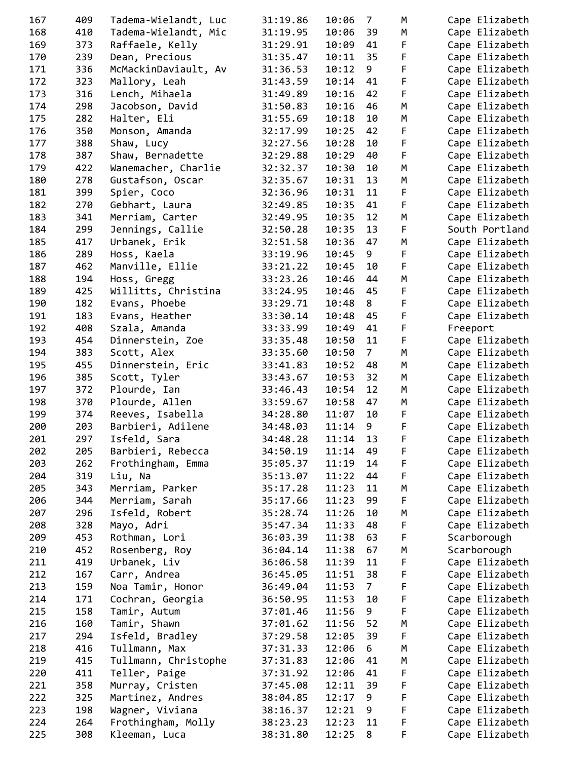| 167        | 409        | Tadema-Wielandt, Luc | 31:19.86 | 10:06          | 7              | M      | Cape Elizabeth                   |
|------------|------------|----------------------|----------|----------------|----------------|--------|----------------------------------|
| 168        | 410        | Tadema-Wielandt, Mic | 31:19.95 | 10:06          | 39             | М      | Cape Elizabeth                   |
| 169        | 373        | Raffaele, Kelly      | 31:29.91 | 10:09          | 41             | F      | Cape Elizabeth                   |
| 170        | 239        | Dean, Precious       | 31:35.47 | 10:11          | 35             | F      | Cape Elizabeth                   |
| 171        | 336        | McMackinDaviault, Av | 31:36.53 | 10:12          | 9              | F      | Cape Elizabeth                   |
| 172        | 323        | Mallory, Leah        | 31:43.59 | 10:14          | 41             | F      | Cape Elizabeth                   |
| 173        | 316        | Lench, Mihaela       | 31:49.89 | 10:16          | 42             | F      | Cape Elizabeth                   |
| 174        | 298        | Jacobson, David      | 31:50.83 | 10:16          | 46             | M      | Cape Elizabeth                   |
| 175        | 282        | Halter, Eli          | 31:55.69 | 10:18          | 10             | М      | Cape Elizabeth                   |
| 176        | 350        | Monson, Amanda       | 32:17.99 | 10:25          | 42             | F      | Cape Elizabeth                   |
| 177        | 388        | Shaw, Lucy           | 32:27.56 | 10:28          | 10             | F      | Cape Elizabeth                   |
| 178        | 387        | Shaw, Bernadette     | 32:29.88 | 10:29          | 40             | F      | Cape Elizabeth                   |
| 179        | 422        | Wanemacher, Charlie  | 32:32.37 | 10:30          | 10             | M      | Cape Elizabeth                   |
| 180        | 278        | Gustafson, Oscar     | 32:35.67 | 10:31          | 13             | М      | Cape Elizabeth                   |
| 181        | 399        | Spier, Coco          | 32:36.96 | 10:31          | 11             | F      | Cape Elizabeth                   |
| 182        | 270        | Gebhart, Laura       | 32:49.85 | 10:35          | 41             | F      | Cape Elizabeth                   |
| 183        | 341        | Merriam, Carter      | 32:49.95 | 10:35          | 12             | M      | Cape Elizabeth                   |
| 184        | 299        | Jennings, Callie     | 32:50.28 | 10:35          | 13             | F      | South Portland                   |
| 185        | 417        | Urbanek, Erik        | 32:51.58 | 10:36          | 47             | М      | Cape Elizabeth                   |
| 186        | 289        | Hoss, Kaela          | 33:19.96 | 10:45          | 9              | F      | Cape Elizabeth                   |
| 187        | 462        | Manville, Ellie      | 33:21.22 | 10:45          | 10             | F      | Cape Elizabeth                   |
| 188        | 194        | Hoss, Gregg          | 33:23.26 | 10:46          | 44             | M      | Cape Elizabeth                   |
| 189        | 425        | Willitts, Christina  | 33:24.95 | 10:46          | 45             | F      | Cape Elizabeth                   |
| 190        | 182        | Evans, Phoebe        | 33:29.71 | 10:48          | 8              | F      | Cape Elizabeth                   |
| 191        | 183        | Evans, Heather       | 33:30.14 | 10:48          | 45             | F      | Cape Elizabeth                   |
| 192        | 408        | Szala, Amanda        | 33:33.99 | 10:49          | 41             | F      | Freeport                         |
| 193        | 454        | Dinnerstein, Zoe     | 33:35.48 | 10:50          | 11             | F      | Cape Elizabeth                   |
| 194        | 383        | Scott, Alex          | 33:35.60 | 10:50          | $7^{\circ}$    | M      | Cape Elizabeth                   |
| 195        | 455        | Dinnerstein, Eric    | 33:41.83 | 10:52          | 48             | М      | Cape Elizabeth                   |
| 196        | 385        | Scott, Tyler         | 33:43.67 | 10:53          | 32             | М      | Cape Elizabeth                   |
| 197        | 372        | Plourde, Ian         | 33:46.43 | 10:54          | 12             | М      | Cape Elizabeth                   |
| 198        | 370        | Plourde, Allen       | 33:59.67 | 10:58          | 47             | М      | Cape Elizabeth                   |
| 199        | 374        | Reeves, Isabella     | 34:28.80 | 11:07          | 10             | F      | Cape Elizabeth                   |
| 200        | 203        | Barbieri, Adilene    | 34:48.03 | 11:14          | 9              | F      | Cape Elizabeth                   |
| 201        | 297        | Isfeld, Sara         | 34:48.28 | 11:14          | 13             | F      | Cape Elizabeth                   |
| 202        | 205        | Barbieri, Rebecca    | 34:50.19 | 11:14          | 49             | F      | Cape Elizabeth                   |
| 203        | 262        | Frothingham, Emma    | 35:05.37 | 11:19          | 14             | F      | Cape Elizabeth                   |
| 204        | 319        | Liu, Na              | 35:13.07 | 11:22          | 44             | F      | Cape Elizabeth                   |
| 205        | 343        | Merriam, Parker      | 35:17.28 | 11:23          | 11             | M      | Cape Elizabeth                   |
| 206        | 344        | Merriam, Sarah       | 35:17.66 | 11:23          | 99             | F      | Cape Elizabeth                   |
| 207        | 296        | Isfeld, Robert       | 35:28.74 | 11:26          | 10             | М      | Cape Elizabeth                   |
| 208        | 328        | Mayo, Adri           | 35:47.34 | 11:33          | 48             | F      | Cape Elizabeth                   |
| 209        | 453        | Rothman, Lori        | 36:03.39 | 11:38          | 63             | F      | Scarborough                      |
| 210        | 452        | Rosenberg, Roy       | 36:04.14 | 11:38          | 67             | М      | Scarborough                      |
| 211        | 419        | Urbanek, Liv         | 36:06.58 | 11:39          | 11             | F      | Cape Elizabeth                   |
| 212        | 167        | Carr, Andrea         | 36:45.05 | 11:51          | 38             | F      | Cape Elizabeth                   |
| 213        | 159        | Noa Tamir, Honor     | 36:49.04 | 11:53          | 7 <sup>7</sup> | F      | Cape Elizabeth                   |
| 214        | 171        | Cochran, Georgia     | 36:50.95 | 11:53          | 10             | F      | Cape Elizabeth                   |
| 215        | 158        | Tamir, Autum         | 37:01.46 | 11:56          | 9              | F      | Cape Elizabeth                   |
| 216        | 160        | Tamir, Shawn         | 37:01.62 | 11:56          | 52             | М      | Cape Elizabeth                   |
| 217        | 294        | Isfeld, Bradley      | 37:29.58 | 12:05          | 39             | F      | Cape Elizabeth                   |
| 218        | 416        | Tullmann, Max        | 37:31.33 | 12:06          | 6              | М      | Cape Elizabeth                   |
| 219        | 415        | Tullmann, Christophe | 37:31.83 | 12:06          | 41             | M      | Cape Elizabeth                   |
| 220        | 411        | Teller, Paige        | 37:31.92 | 12:06          | 41             | F      | Cape Elizabeth                   |
| 221        | 358        | Murray, Cristen      | 37:45.08 | 12:11          | 39             | F      | Cape Elizabeth                   |
| 222        | 325        |                      |          | 12:17          | 9              | F      | Cape Elizabeth                   |
|            |            | Martinez, Andres     | 38:04.85 |                | 9              | F      |                                  |
| 223<br>224 | 198<br>264 | Wagner, Viviana      | 38:16.37 | 12:21<br>12:23 | 11             |        | Cape Elizabeth<br>Cape Elizabeth |
| 225        |            | Frothingham, Molly   | 38:23.23 |                |                | F<br>F |                                  |
|            | 308        | Kleeman, Luca        | 38:31.80 | 12:25          | 8              |        | Cape Elizabeth                   |